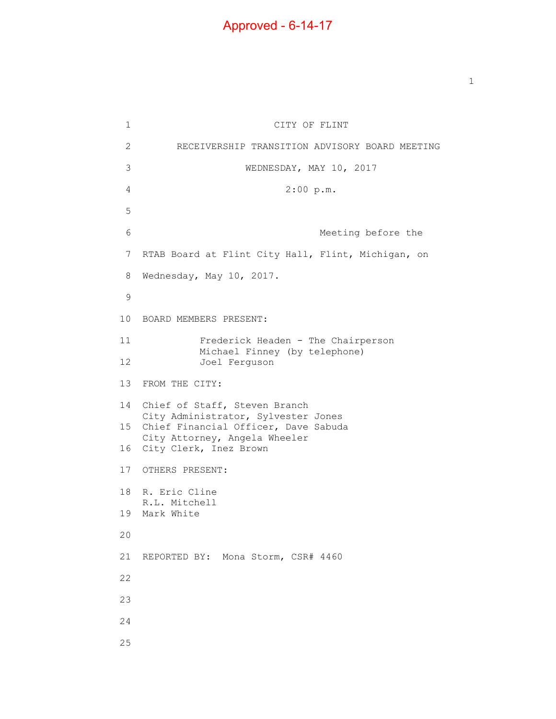$\mathbf{1}$  $\overline{2}$ 3 6 7 RTAB Board at Flint City Hall, Flint, Michigan, on 8 CITY OF FLINT 2 RECEIVERSHIP TRANSITION ADVISORY BOARD MEETING WEDNESDAY, MAY 10, 2017 4 2:00 p.m. 5 Meeting before the Wednesday, May 10, 2017. 9 10 BOARD MEMBERS PRESENT: 11 Frederick Headen - The Chairperson Michael Finney (by telephone) 12 Joel Ferguson 13 FROM THE CITY: 14 Chief of Staff, Steven Branch City Administrator, Sylvester Jones 15 Chief Financial Officer, Dave Sabuda City Attorney, Angela Wheeler 16 City Clerk, Inez Brown 17 OTHERS PRESENT: 18 R. Eric Cline R.L. Mitchell 19 Mark White 20 21 REPORTED BY: Mona Storm, CSR# 4460 22 23 24 25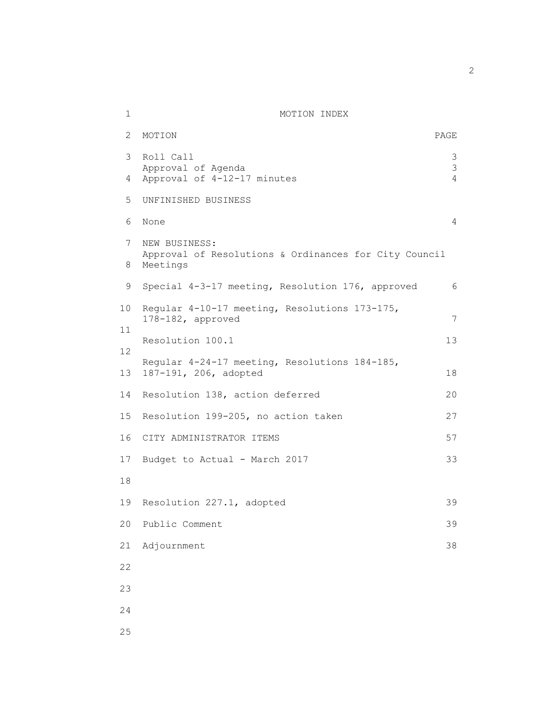## 1 MOTION INDEX

| 2        | MOTION                                                                             | PAGE   |
|----------|------------------------------------------------------------------------------------|--------|
| 3        | Roll Call<br>Approval of Agenda                                                    | 3<br>3 |
| 4        | Approval of 4-12-17 minutes                                                        | 4      |
| 5        | UNFINISHED BUSINESS                                                                |        |
| 6        | None                                                                               | 4      |
| 7<br>8   | NEW BUSINESS:<br>Approval of Resolutions & Ordinances for City Council<br>Meetings |        |
| 9        | Special 4-3-17 meeting, Resolution 176, approved                                   | 6      |
| 10       | Regular 4-10-17 meeting, Resolutions 173-175,<br>178-182, approved                 | 7      |
| 11       | Resolution 100.1                                                                   | 13     |
| 12<br>13 | Regular 4-24-17 meeting, Resolutions 184-185,<br>187-191, 206, adopted             | 18     |
| 14       | Resolution 138, action deferred                                                    | 20     |
| 15       | Resolution 199-205, no action taken                                                | 27     |
| 16       | CITY ADMINISTRATOR ITEMS                                                           | 57     |
| 17       | Budget to Actual - March 2017                                                      | 33     |
| 18       |                                                                                    |        |
| 19       | Resolution 227.1, adopted                                                          | 39     |
| 20       | Public Comment                                                                     | 39     |
| 21       | Adjournment                                                                        | 38     |
| 22       |                                                                                    |        |
| 23       |                                                                                    |        |
| 24       |                                                                                    |        |
| 25       |                                                                                    |        |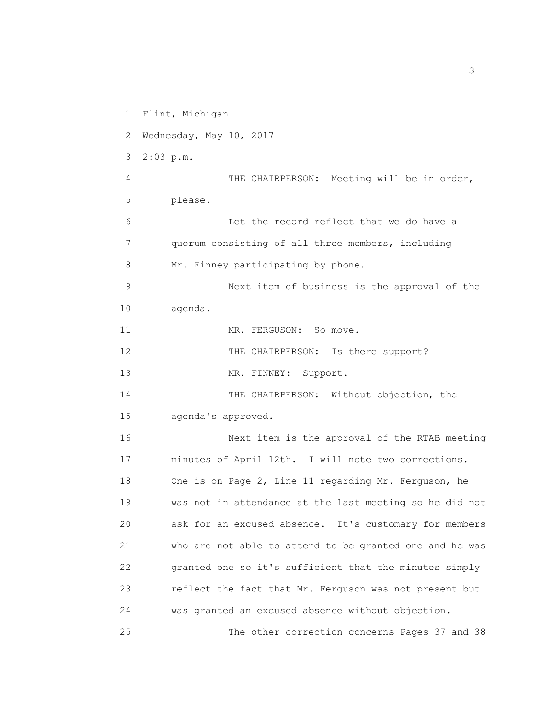1 Flint, Michigan 2 Wednesday, May 10, 2017 3 2:03 p.m. 4 THE CHAIRPERSON: Meeting will be in order, 5 please. 6 Let the record reflect that we do have a 7 quorum consisting of all three members, including 8 Mr. Finney participating by phone. 9 Next item of business is the approval of the 10 agenda. 11 MR. FERGUSON: So move. 12 THE CHAIRPERSON: Is there support? 13 MR. FINNEY: Support. 14 THE CHAIRPERSON: Without objection, the 15 agenda's approved. 16 Next item is the approval of the RTAB meeting 17 minutes of April 12th. I will note two corrections. 18 One is on Page 2, Line 11 regarding Mr. Ferguson, he 19 was not in attendance at the last meeting so he did not 20 ask for an excused absence. It's customary for members 21 who are not able to attend to be granted one and he was 22 granted one so it's sufficient that the minutes simply 23 reflect the fact that Mr. Ferguson was not present but 24 was granted an excused absence without objection. 25 The other correction concerns Pages 37 and 38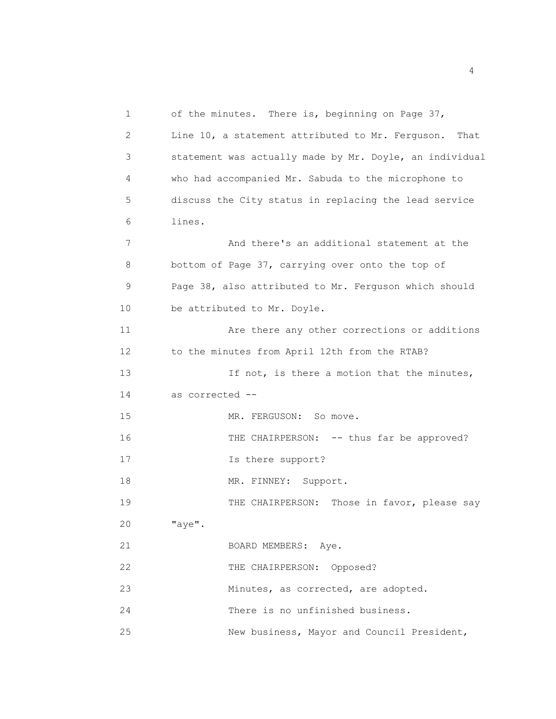1 of the minutes. There is, beginning on Page 37, 2 Line 10, a statement attributed to Mr. Ferguson. That 3 statement was actually made by Mr. Doyle, an individual 4 who had accompanied Mr. Sabuda to the microphone to 5 discuss the City status in replacing the lead service 6 lines. 7 And there's an additional statement at the 8 bottom of Page 37, carrying over onto the top of 9 Page 38, also attributed to Mr. Ferguson which should 10 be attributed to Mr. Doyle. 11 Are there any other corrections or additions 12 to the minutes from April 12th from the RTAB? 13 15 If not, is there a motion that the minutes, 14 as corrected -- 15 MR. FERGUSON: So move. 16 THE CHAIRPERSON: -- thus far be approved? 17 Is there support? 18 MR. FINNEY: Support. 19 THE CHAIRPERSON: Those in favor, please say 20 "aye". 21 BOARD MEMBERS: Aye. 22 THE CHAIRPERSON: Opposed? 23 Minutes, as corrected, are adopted. 24 There is no unfinished business. 25 New business, Mayor and Council President,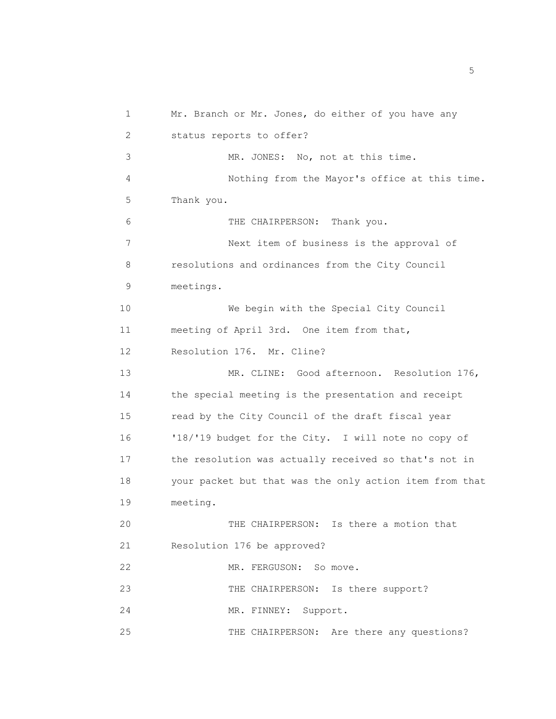1 Mr. Branch or Mr. Jones, do either of you have any 2 status reports to offer? 3 MR. JONES: No, not at this time. 4 Nothing from the Mayor's office at this time. 5 Thank you. 6 THE CHAIRPERSON: Thank you. 7 Next item of business is the approval of 8 resolutions and ordinances from the City Council 9 meetings. 10 We begin with the Special City Council 11 meeting of April 3rd. One item from that, 12 Resolution 176. Mr. Cline? 13 MR. CLINE: Good afternoon. Resolution 176, 14 the special meeting is the presentation and receipt 15 read by the City Council of the draft fiscal year 16 '18/'19 budget for the City. I will note no copy of 17 the resolution was actually received so that's not in 18 your packet but that was the only action item from that 19 meeting. 20 THE CHAIRPERSON: Is there a motion that 21 Resolution 176 be approved? 22 MR. FERGUSON: So move. 23 THE CHAIRPERSON: Is there support? 24 MR. FINNEY: Support. 25 THE CHAIRPERSON: Are there any questions?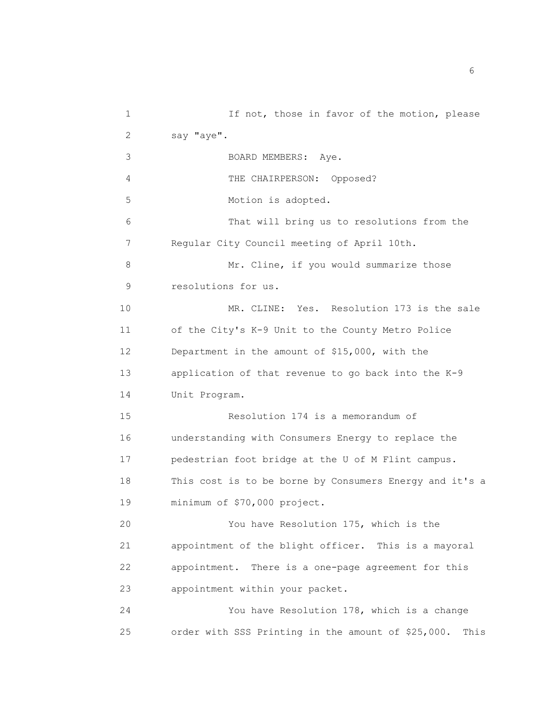| 1  | If not, those in favor of the motion, please            |
|----|---------------------------------------------------------|
| 2  | say "aye".                                              |
| 3  | BOARD MEMBERS: Aye.                                     |
| 4  | THE CHAIRPERSON: Opposed?                               |
| 5  | Motion is adopted.                                      |
| 6  | That will bring us to resolutions from the              |
| 7  | Regular City Council meeting of April 10th.             |
| 8  | Mr. Cline, if you would summarize those                 |
| 9  | resolutions for us.                                     |
| 10 | MR. CLINE: Yes. Resolution 173 is the sale              |
| 11 | of the City's K-9 Unit to the County Metro Police       |
| 12 | Department in the amount of \$15,000, with the          |
| 13 | application of that revenue to go back into the K-9     |
| 14 | Unit Program.                                           |
| 15 | Resolution 174 is a memorandum of                       |
| 16 | understanding with Consumers Energy to replace the      |
| 17 | pedestrian foot bridge at the U of M Flint campus.      |
| 18 | This cost is to be borne by Consumers Energy and it's a |
| 19 | minimum of \$70,000 project.                            |
| 20 | You have Resolution 175, which is the                   |
| 21 | appointment of the blight officer. This is a mayoral    |
| 22 | appointment. There is a one-page agreement for this     |
| 23 | appointment within your packet.                         |
| 24 | You have Resolution 178, which is a change              |
| 25 | order with SSS Printing in the amount of \$25,000. This |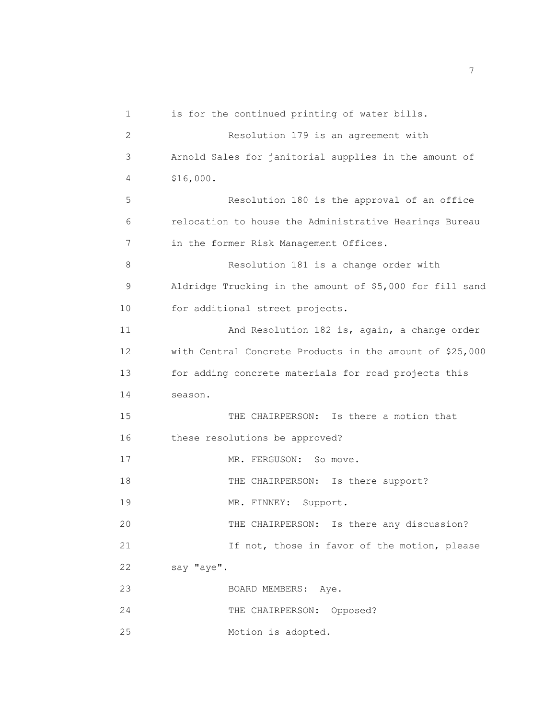| $\mathbf 1$    | is for the continued printing of water bills.            |
|----------------|----------------------------------------------------------|
| $\overline{2}$ | Resolution 179 is an agreement with                      |
| 3              | Arnold Sales for janitorial supplies in the amount of    |
| 4              | \$16,000.                                                |
| 5              | Resolution 180 is the approval of an office              |
| 6              | relocation to house the Administrative Hearings Bureau   |
| 7              | in the former Risk Management Offices.                   |
| 8              | Resolution 181 is a change order with                    |
| 9              | Aldridge Trucking in the amount of \$5,000 for fill sand |
| 10             | for additional street projects.                          |
| 11             | And Resolution 182 is, again, a change order             |
| 12             | with Central Concrete Products in the amount of \$25,000 |
| 13             | for adding concrete materials for road projects this     |
| 14             | season.                                                  |
| 15             | THE CHAIRPERSON: Is there a motion that                  |
| 16             | these resolutions be approved?                           |
| 17             | MR. FERGUSON:<br>So move.                                |
| 18             | THE CHAIRPERSON: Is there support?                       |
| 19             | MR. FINNEY:<br>Support.                                  |
| 20             | THE CHAIRPERSON: Is there any discussion?                |
| 21             | If not, those in favor of the motion, please             |
| 22             | say "aye".                                               |
| 23             | BOARD MEMBERS: Aye.                                      |
| 24             | THE CHAIRPERSON:<br>Opposed?                             |
| 25             | Motion is adopted.                                       |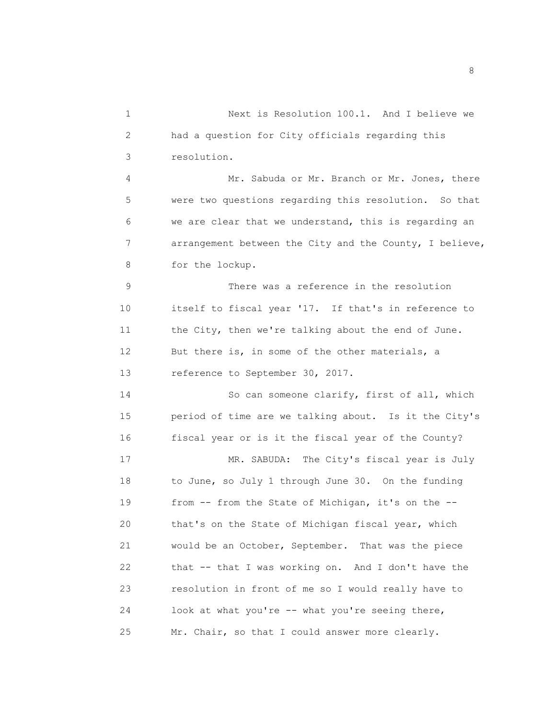1 Next is Resolution 100.1. And I believe we 2 had a question for City officials regarding this 3 resolution. 4 Mr. Sabuda or Mr. Branch or Mr. Jones, there 5 were two questions regarding this resolution. So that 6 we are clear that we understand, this is regarding an 7 arrangement between the City and the County, I believe, 8 for the lockup. 9 There was a reference in the resolution

10 itself to fiscal year '17. If that's in reference to 11 the City, then we're talking about the end of June. 12 But there is, in some of the other materials, a 13 reference to September 30, 2017.

14 So can someone clarify, first of all, which 15 period of time are we talking about. Is it the City's 16 fiscal year or is it the fiscal year of the County?

17 MR. SABUDA: The City's fiscal year is July 18 to June, so July 1 through June 30. On the funding 19 from -- from the State of Michigan, it's on the -- 20 that's on the State of Michigan fiscal year, which 21 would be an October, September. That was the piece 22 that -- that I was working on. And I don't have the 23 resolution in front of me so I would really have to 24 look at what you're -- what you're seeing there, 25 Mr. Chair, so that I could answer more clearly.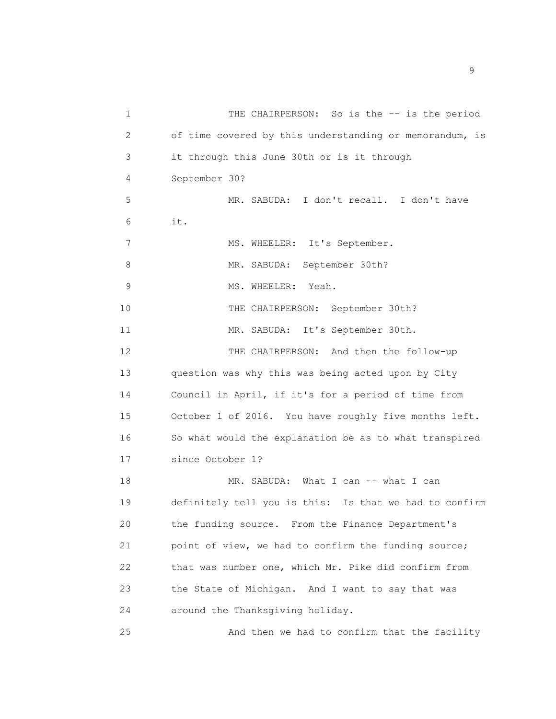1 THE CHAIRPERSON: So is the -- is the period 2 of time covered by this understanding or memorandum, is 3 it through this June 30th or is it through 4 September 30? 5 MR. SABUDA: I don't recall. I don't have 6 it. 7 MS. WHEELER: It's September. 8 MR. SABUDA: September 30th? 9 MS. WHEELER: Yeah. 10 THE CHAIRPERSON: September 30th? 11 MR. SABUDA: It's September 30th. 12 THE CHAIRPERSON: And then the follow-up 13 question was why this was being acted upon by City 14 Council in April, if it's for a period of time from 15 October 1 of 2016. You have roughly five months left. 16 So what would the explanation be as to what transpired 17 since October 1? 18 MR. SABUDA: What I can -- what I can 19 definitely tell you is this: Is that we had to confirm 20 the funding source. From the Finance Department's 21 point of view, we had to confirm the funding source; 22 that was number one, which Mr. Pike did confirm from 23 the State of Michigan. And I want to say that was 24 around the Thanksgiving holiday. 25 And then we had to confirm that the facility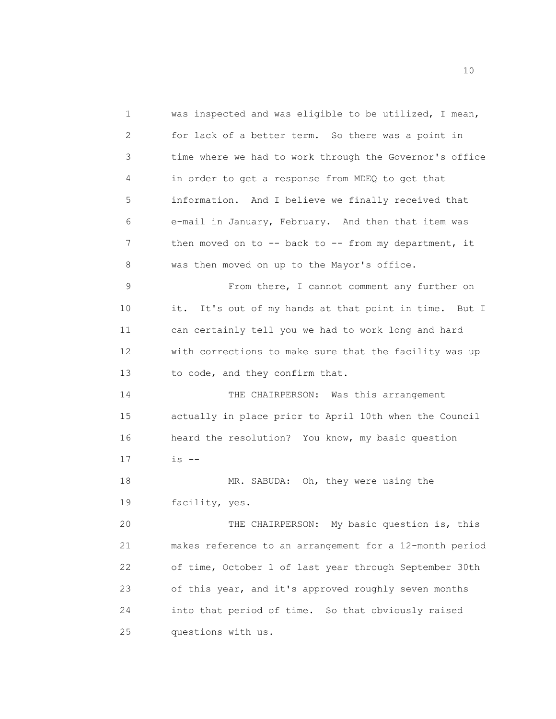1 was inspected and was eligible to be utilized, I mean, 2 for lack of a better term. So there was a point in 3 time where we had to work through the Governor's office 4 in order to get a response from MDEQ to get that 5 information. And I believe we finally received that 6 e-mail in January, February. And then that item was 7 then moved on to -- back to -- from my department, it 8 was then moved on up to the Mayor's office. 9 From there, I cannot comment any further on 10 it. It's out of my hands at that point in time. But I 11 can certainly tell you we had to work long and hard 12 with corrections to make sure that the facility was up 13 to code, and they confirm that. 14 THE CHAIRPERSON: Was this arrangement 15 actually in place prior to April 10th when the Council 16 heard the resolution? You know, my basic question 17 is -- 18 MR. SABUDA: Oh, they were using the 19 facility, yes. 20 THE CHAIRPERSON: My basic question is, this 21 makes reference to an arrangement for a 12-month period 22 of time, October 1 of last year through September 30th 23 of this year, and it's approved roughly seven months 24 into that period of time. So that obviously raised 25 questions with us.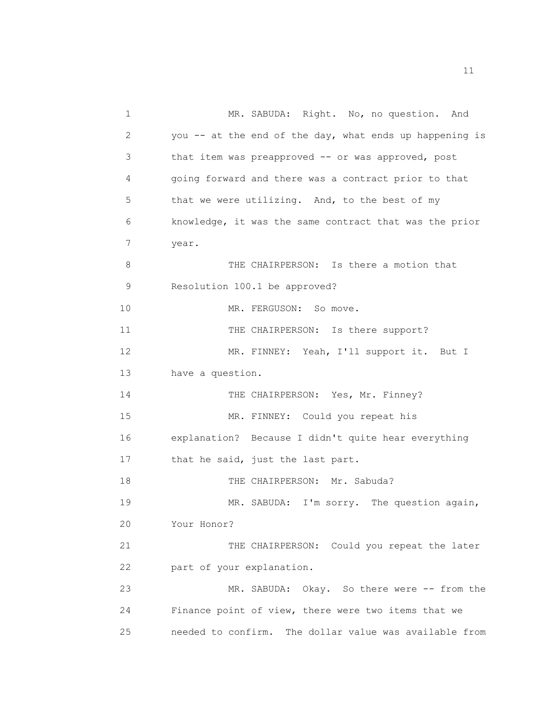1 MR. SABUDA: Right. No, no question. And 2 you -- at the end of the day, what ends up happening is 3 that item was preapproved -- or was approved, post 4 going forward and there was a contract prior to that 5 that we were utilizing. And, to the best of my 6 knowledge, it was the same contract that was the prior 7 year. 8 THE CHAIRPERSON: Is there a motion that 9 Resolution 100.1 be approved? 10 MR. FERGUSON: So move. 11 THE CHAIRPERSON: Is there support? 12 MR. FINNEY: Yeah, I'll support it. But I 13 have a question. 14 THE CHAIRPERSON: Yes, Mr. Finney? 15 MR. FINNEY: Could you repeat his 16 explanation? Because I didn't quite hear everything 17 that he said, just the last part. 18 THE CHAIRPERSON: Mr. Sabuda? 19 MR. SABUDA: I'm sorry. The question again, 20 Your Honor? 21 THE CHAIRPERSON: Could you repeat the later 22 part of your explanation. 23 MR. SABUDA: Okay. So there were -- from the 24 Finance point of view, there were two items that we 25 needed to confirm. The dollar value was available from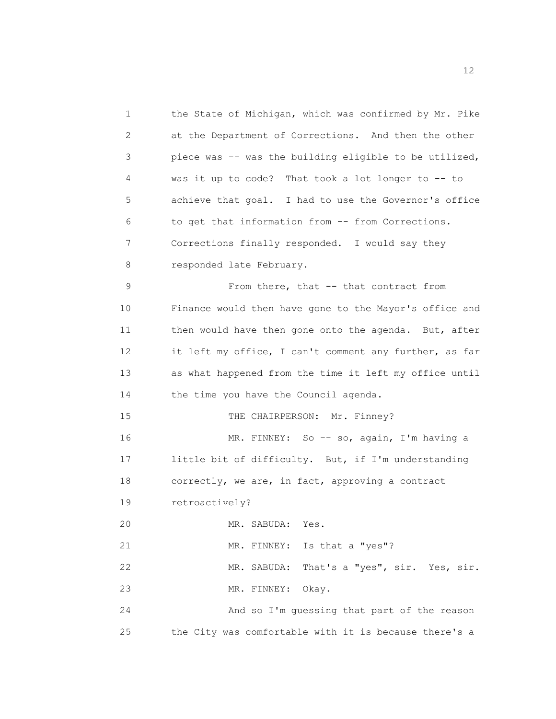1 the State of Michigan, which was confirmed by Mr. Pike 2 at the Department of Corrections. And then the other 3 piece was -- was the building eligible to be utilized, 4 was it up to code? That took a lot longer to -- to 5 achieve that goal. I had to use the Governor's office 6 to get that information from -- from Corrections. 7 Corrections finally responded. I would say they 8 responded late February. 9 From there, that -- that contract from 10 Finance would then have gone to the Mayor's office and 11 then would have then gone onto the agenda. But, after 12 it left my office, I can't comment any further, as far 13 as what happened from the time it left my office until 14 the time you have the Council agenda. 15 THE CHAIRPERSON: Mr. Finney? 16 MR. FINNEY: So -- so, again, I'm having a 17 little bit of difficulty. But, if I'm understanding 18 correctly, we are, in fact, approving a contract 19 retroactively? 20 MR. SABUDA: Yes. 21 MR. FINNEY: Is that a "yes"? 22 MR. SABUDA: That's a "yes", sir. Yes, sir. 23 MR. FINNEY: Okay. 24 And so I'm guessing that part of the reason 25 the City was comfortable with it is because there's a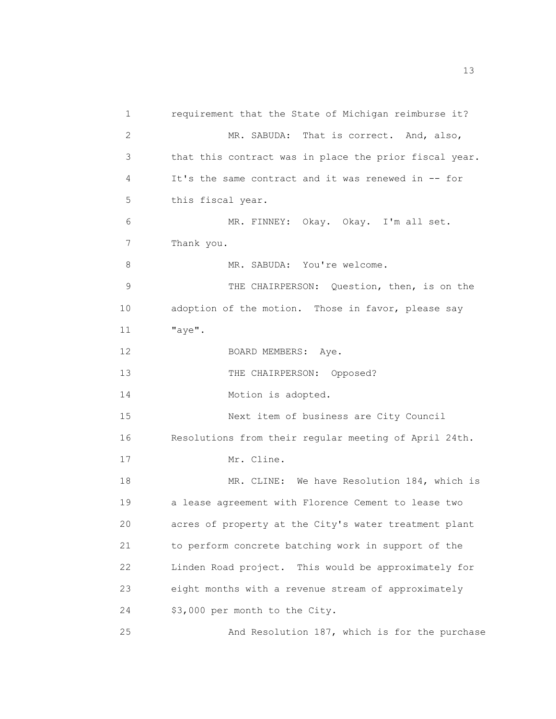1 requirement that the State of Michigan reimburse it? 2 MR. SABUDA: That is correct. And, also, 3 that this contract was in place the prior fiscal year. 4 It's the same contract and it was renewed in -- for 5 this fiscal year. 6 MR. FINNEY: Okay. Okay. I'm all set. 7 Thank you. 8 MR. SABUDA: You're welcome. 9 THE CHAIRPERSON: Question, then, is on the 10 adoption of the motion. Those in favor, please say 11 "aye". 12 BOARD MEMBERS: Ave. 13 THE CHAIRPERSON: Opposed? 14 Motion is adopted. 15 Next item of business are City Council 16 Resolutions from their regular meeting of April 24th. 17 Mr. Cline. 18 MR. CLINE: We have Resolution 184, which is 19 a lease agreement with Florence Cement to lease two 20 acres of property at the City's water treatment plant 21 to perform concrete batching work in support of the 22 Linden Road project. This would be approximately for 23 eight months with a revenue stream of approximately 24 \$3,000 per month to the City. 25 And Resolution 187, which is for the purchase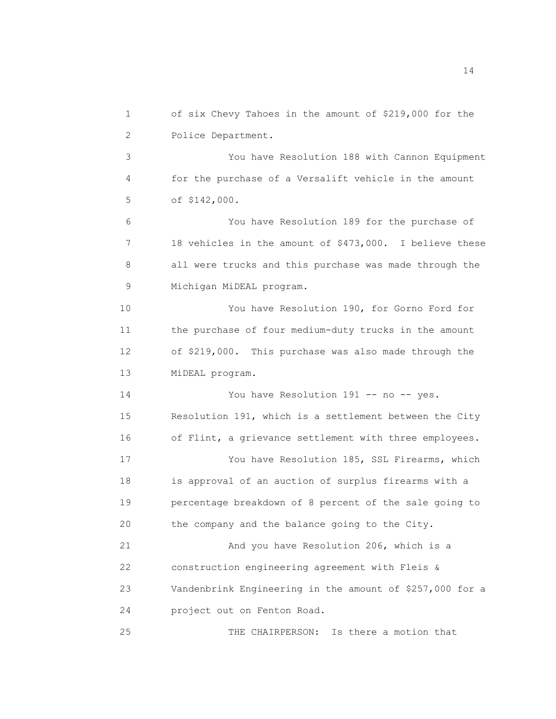1 of six Chevy Tahoes in the amount of \$219,000 for the 2 Police Department. 3 You have Resolution 188 with Cannon Equipment 4 for the purchase of a Versalift vehicle in the amount 5 of \$142,000. 6 You have Resolution 189 for the purchase of 7 18 vehicles in the amount of \$473,000. I believe these 8 all were trucks and this purchase was made through the 9 Michigan MiDEAL program. 10 You have Resolution 190, for Gorno Ford for 11 the purchase of four medium-duty trucks in the amount 12 of \$219,000. This purchase was also made through the 13 MiDEAL program. 14 You have Resolution 191 -- no -- yes. 15 Resolution 191, which is a settlement between the City 16 of Flint, a grievance settlement with three employees. 17 You have Resolution 185, SSL Firearms, which 18 is approval of an auction of surplus firearms with a 19 percentage breakdown of 8 percent of the sale going to 20 the company and the balance going to the City. 21 And you have Resolution 206, which is a 22 construction engineering agreement with Fleis & 23 Vandenbrink Engineering in the amount of \$257,000 for a 24 project out on Fenton Road. 25 THE CHAIRPERSON: Is there a motion that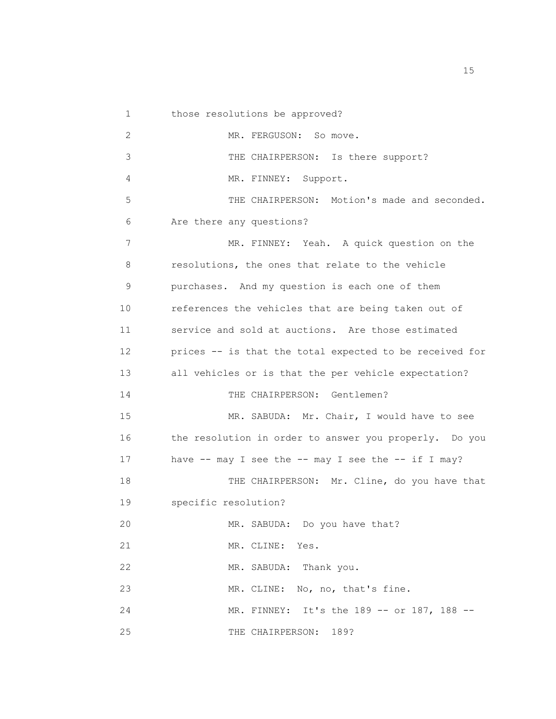1 those resolutions be approved? 2 MR. FERGUSON: So move. 3 THE CHAIRPERSON: Is there support? 4 MR. FINNEY: Support. 5 THE CHAIRPERSON: Motion's made and seconded. 6 Are there any questions? 7 MR. FINNEY: Yeah. A quick question on the 8 resolutions, the ones that relate to the vehicle 9 purchases. And my question is each one of them 10 references the vehicles that are being taken out of 11 service and sold at auctions. Are those estimated 12 prices -- is that the total expected to be received for 13 all vehicles or is that the per vehicle expectation? 14 THE CHAIRPERSON: Gentlemen? 15 MR. SABUDA: Mr. Chair, I would have to see 16 the resolution in order to answer you properly. Do you 17 have -- may I see the -- may I see the -- if I may? 18 THE CHAIRPERSON: Mr. Cline, do you have that 19 specific resolution? 20 MR. SABUDA: Do you have that? 21 MR. CLINE: Yes. 22 MR. SABUDA: Thank you. 23 MR. CLINE: No, no, that's fine. 24 MR. FINNEY: It's the 189 -- or 187, 188 -- 25 THE CHAIRPERSON: 189?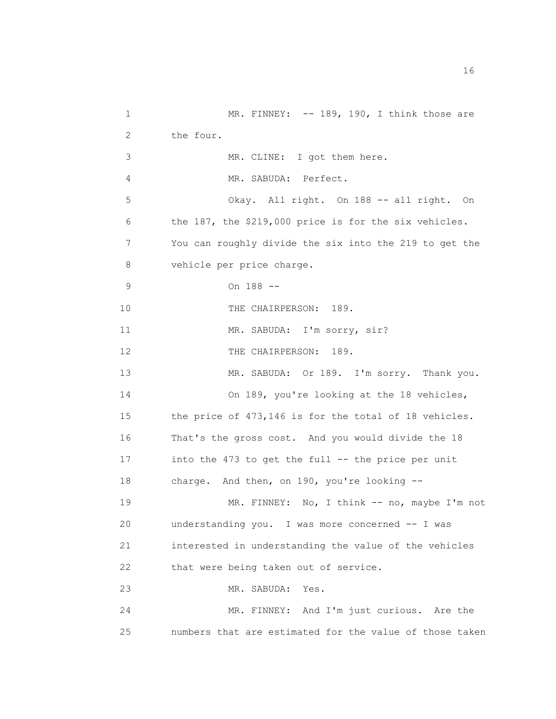1 MR. FINNEY: -- 189, 190, I think those are 2 the four. 3 MR. CLINE: I got them here. 4 MR. SABUDA: Perfect. 5 Okay. All right. On 188 -- all right. On 6 the 187, the \$219,000 price is for the six vehicles. 7 You can roughly divide the six into the 219 to get the 8 vehicle per price charge. 9 On 188 -- 10 THE CHAIRPERSON: 189. 11 MR. SABUDA: I'm sorry, sir? 12 THE CHAIRPERSON: 189. 13 MR. SABUDA: Or 189. I'm sorry. Thank you. 14 On 189, you're looking at the 18 vehicles, 15 the price of 473,146 is for the total of 18 vehicles. 16 That's the gross cost. And you would divide the 18 17 into the 473 to get the full -- the price per unit 18 charge. And then, on 190, you're looking -- 19 MR. FINNEY: No, I think -- no, maybe I'm not 20 understanding you. I was more concerned -- I was 21 interested in understanding the value of the vehicles 22 that were being taken out of service. 23 MR. SABUDA: Yes. 24 MR. FINNEY: And I'm just curious. Are the 25 numbers that are estimated for the value of those taken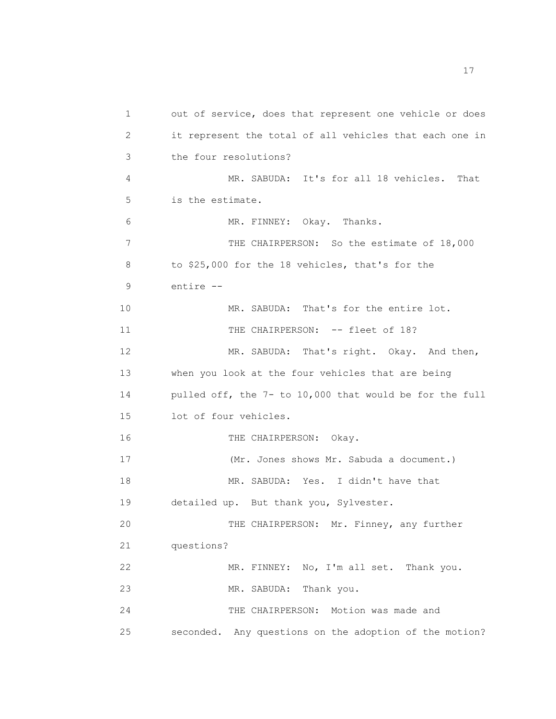1 out of service, does that represent one vehicle or does 2 it represent the total of all vehicles that each one in 3 the four resolutions? 4 MR. SABUDA: It's for all 18 vehicles. That 5 is the estimate. 6 MR. FINNEY: Okay. Thanks. 7 THE CHAIRPERSON: So the estimate of 18,000 8 to \$25,000 for the 18 vehicles, that's for the 9 entire -- 10 MR. SABUDA: That's for the entire lot. 11 THE CHAIRPERSON: -- fleet of 18? 12 MR. SABUDA: That's right. Okay. And then, 13 when you look at the four vehicles that are being 14 pulled off, the 7- to 10,000 that would be for the full 15 lot of four vehicles. 16 THE CHAIRPERSON: Okay. 17 (Mr. Jones shows Mr. Sabuda a document.) 18 MR. SABUDA: Yes. I didn't have that 19 detailed up. But thank you, Sylvester. 20 THE CHAIRPERSON: Mr. Finney, any further 21 questions? 22 MR. FINNEY: No, I'm all set. Thank you. 23 MR. SABUDA: Thank you. 24 THE CHAIRPERSON: Motion was made and 25 seconded. Any questions on the adoption of the motion?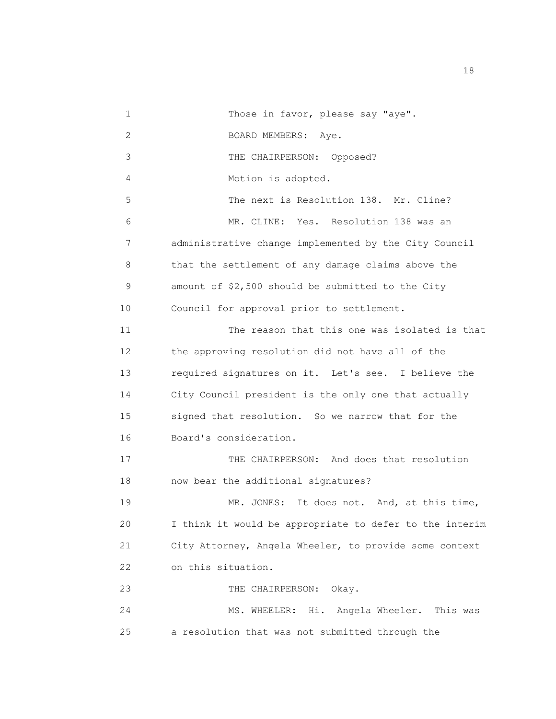1 Those in favor, please say "aye". 2 BOARD MEMBERS: Aye. 3 THE CHAIRPERSON: Opposed? 4 Motion is adopted. 5 The next is Resolution 138. Mr. Cline? 6 MR. CLINE: Yes. Resolution 138 was an 7 administrative change implemented by the City Council 8 that the settlement of any damage claims above the 9 amount of \$2,500 should be submitted to the City 10 Council for approval prior to settlement. 11 The reason that this one was isolated is that 12 the approving resolution did not have all of the 13 required signatures on it. Let's see. I believe the 14 City Council president is the only one that actually 15 signed that resolution. So we narrow that for the 16 Board's consideration. 17 THE CHAIRPERSON: And does that resolution 18 now bear the additional signatures? 19 MR. JONES: It does not. And, at this time, 20 I think it would be appropriate to defer to the interim 21 City Attorney, Angela Wheeler, to provide some context 22 on this situation. 23 THE CHAIRPERSON: Okay. 24 MS. WHEELER: Hi. Angela Wheeler. This was 25 a resolution that was not submitted through the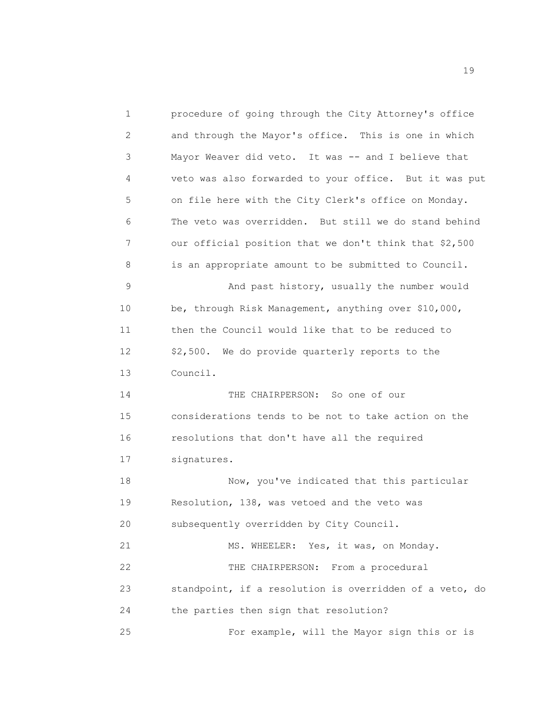1 procedure of going through the City Attorney's office 2 and through the Mayor's office. This is one in which 3 Mayor Weaver did veto. It was -- and I believe that 4 veto was also forwarded to your office. But it was put 5 on file here with the City Clerk's office on Monday. 6 The veto was overridden. But still we do stand behind 7 our official position that we don't think that \$2,500 8 is an appropriate amount to be submitted to Council. 9 And past history, usually the number would 10 be, through Risk Management, anything over \$10,000, 11 then the Council would like that to be reduced to 12 \$2,500. We do provide quarterly reports to the 13 Council. 14 THE CHAIRPERSON: So one of our 15 considerations tends to be not to take action on the 16 resolutions that don't have all the required 17 signatures. 18 Now, you've indicated that this particular 19 Resolution, 138, was vetoed and the veto was 20 subsequently overridden by City Council. 21 MS. WHEELER: Yes, it was, on Monday. 22 THE CHAIRPERSON: From a procedural 23 standpoint, if a resolution is overridden of a veto, do 24 the parties then sign that resolution? 25 For example, will the Mayor sign this or is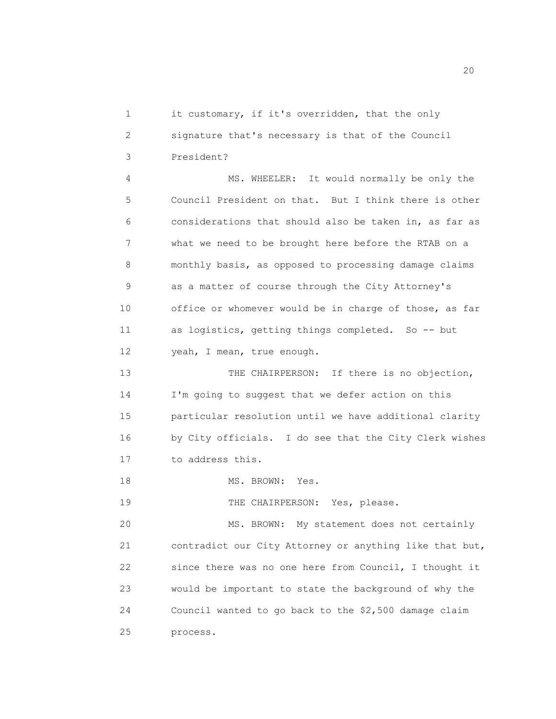1 it customary, if it's overridden, that the only 2 signature that's necessary is that of the Council 3 President?

4 MS. WHEELER: It would normally be only the 5 Council President on that. But I think there is other 6 considerations that should also be taken in, as far as 7 what we need to be brought here before the RTAB on a 8 monthly basis, as opposed to processing damage claims 9 as a matter of course through the City Attorney's 10 office or whomever would be in charge of those, as far 11 as logistics, getting things completed. So -- but 12 yeah, I mean, true enough.

13 THE CHAIRPERSON: If there is no objection, 14 I'm going to suggest that we defer action on this 15 particular resolution until we have additional clarity 16 by City officials. I do see that the City Clerk wishes 17 to address this.

18 MS. BROWN: Yes.

19 THE CHAIRPERSON: Yes, please.

20 MS. BROWN: My statement does not certainly 21 contradict our City Attorney or anything like that but, 22 since there was no one here from Council, I thought it 23 would be important to state the background of why the 24 Council wanted to go back to the \$2,500 damage claim 25 process.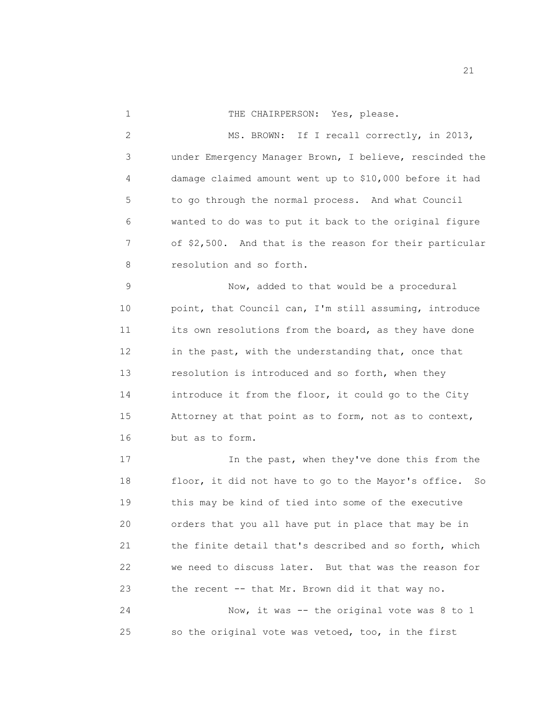1 THE CHAIRPERSON: Yes, please.

2 MS. BROWN: If I recall correctly, in 2013, 3 under Emergency Manager Brown, I believe, rescinded the 4 damage claimed amount went up to \$10,000 before it had 5 to go through the normal process. And what Council 6 wanted to do was to put it back to the original figure 7 of \$2,500. And that is the reason for their particular 8 resolution and so forth.

9 Now, added to that would be a procedural 10 point, that Council can, I'm still assuming, introduce 11 its own resolutions from the board, as they have done 12 in the past, with the understanding that, once that 13 resolution is introduced and so forth, when they 14 introduce it from the floor, it could go to the City 15 Attorney at that point as to form, not as to context, 16 but as to form.

17 17 In the past, when they've done this from the 18 floor, it did not have to go to the Mayor's office. So 19 this may be kind of tied into some of the executive 20 orders that you all have put in place that may be in 21 the finite detail that's described and so forth, which 22 we need to discuss later. But that was the reason for 23 the recent -- that Mr. Brown did it that way no.

24 Now, it was -- the original vote was 8 to 1 25 so the original vote was vetoed, too, in the first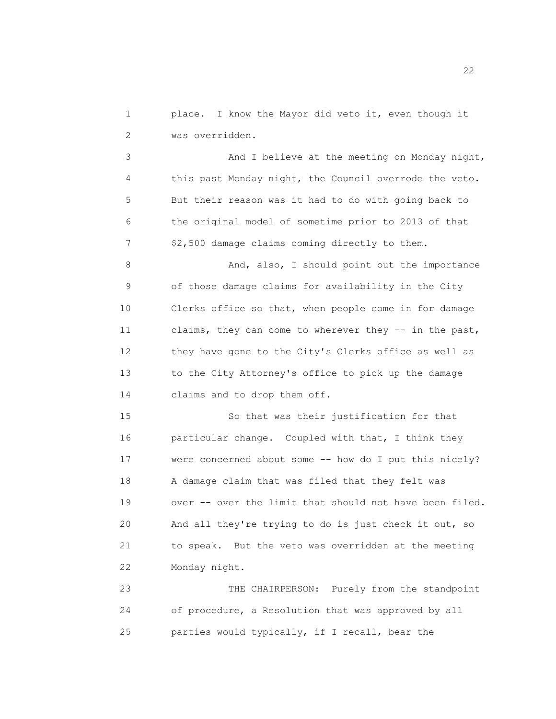1 place. I know the Mayor did veto it, even though it 2 was overridden.

3 And I believe at the meeting on Monday night, 4 this past Monday night, the Council overrode the veto. 5 But their reason was it had to do with going back to 6 the original model of sometime prior to 2013 of that 7 \$2,500 damage claims coming directly to them.

8 And, also, I should point out the importance 9 of those damage claims for availability in the City 10 Clerks office so that, when people come in for damage 11 claims, they can come to wherever they -- in the past, 12 they have gone to the City's Clerks office as well as 13 to the City Attorney's office to pick up the damage 14 claims and to drop them off.

15 So that was their justification for that 16 particular change. Coupled with that, I think they 17 were concerned about some -- how do I put this nicely? 18 A damage claim that was filed that they felt was 19 over -- over the limit that should not have been filed. 20 And all they're trying to do is just check it out, so 21 to speak. But the veto was overridden at the meeting 22 Monday night.

23 THE CHAIRPERSON: Purely from the standpoint 24 of procedure, a Resolution that was approved by all 25 parties would typically, if I recall, bear the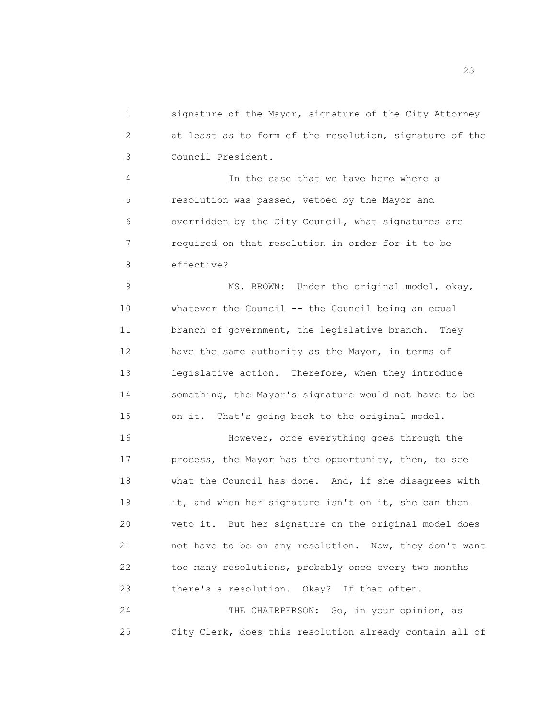1 signature of the Mayor, signature of the City Attorney 2 at least as to form of the resolution, signature of the 3 Council President.

4 In the case that we have here where a 5 resolution was passed, vetoed by the Mayor and 6 overridden by the City Council, what signatures are 7 required on that resolution in order for it to be 8 effective?

9 MS. BROWN: Under the original model, okay, 10 whatever the Council -- the Council being an equal 11 branch of government, the legislative branch. They 12 have the same authority as the Mayor, in terms of 13 legislative action. Therefore, when they introduce 14 something, the Mayor's signature would not have to be 15 on it. That's going back to the original model.

16 However, once everything goes through the 17 process, the Mayor has the opportunity, then, to see 18 what the Council has done. And, if she disagrees with 19 it, and when her signature isn't on it, she can then 20 veto it. But her signature on the original model does 21 not have to be on any resolution. Now, they don't want 22 too many resolutions, probably once every two months 23 there's a resolution. Okay? If that often.

24 THE CHAIRPERSON: So, in your opinion, as 25 City Clerk, does this resolution already contain all of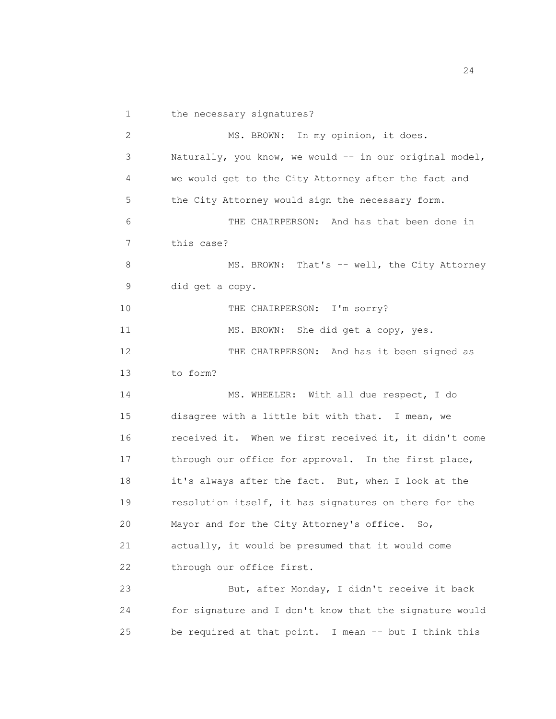1 the necessary signatures? 2 MS. BROWN: In my opinion, it does. 3 Naturally, you know, we would -- in our original model, 4 we would get to the City Attorney after the fact and 5 the City Attorney would sign the necessary form. 6 THE CHAIRPERSON: And has that been done in 7 this case? 8 MS. BROWN: That's -- well, the City Attorney 9 did get a copy. 10 THE CHAIRPERSON: I'm sorry? 11 MS. BROWN: She did get a copy, yes. 12 THE CHAIRPERSON: And has it been signed as 13 to form? 14 MS. WHEELER: With all due respect, I do 15 disagree with a little bit with that. I mean, we 16 received it. When we first received it, it didn't come 17 through our office for approval. In the first place, 18 it's always after the fact. But, when I look at the 19 resolution itself, it has signatures on there for the 20 Mayor and for the City Attorney's office. So, 21 actually, it would be presumed that it would come 22 through our office first. 23 But, after Monday, I didn't receive it back 24 for signature and I don't know that the signature would 25 be required at that point. I mean -- but I think this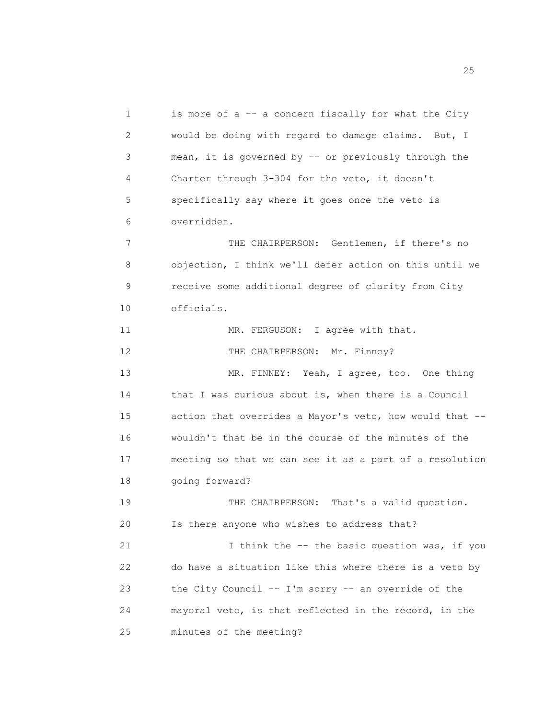1 is more of a -- a concern fiscally for what the City 2 would be doing with regard to damage claims. But, I 3 mean, it is governed by -- or previously through the 4 Charter through 3-304 for the veto, it doesn't 5 specifically say where it goes once the veto is 6 overridden. 7 THE CHAIRPERSON: Gentlemen, if there's no 8 objection, I think we'll defer action on this until we 9 receive some additional degree of clarity from City 10 officials. 11 MR. FERGUSON: I agree with that. 12 THE CHAIRPERSON: Mr. Finney? 13 MR. FINNEY: Yeah, I agree, too. One thing 14 that I was curious about is, when there is a Council 15 action that overrides a Mayor's veto, how would that -- 16 wouldn't that be in the course of the minutes of the 17 meeting so that we can see it as a part of a resolution 18 going forward? 19 THE CHAIRPERSON: That's a valid question. 20 Is there anyone who wishes to address that? 21 I think the -- the basic question was, if you 22 do have a situation like this where there is a veto by 23 the City Council -- I'm sorry -- an override of the 24 mayoral veto, is that reflected in the record, in the 25 minutes of the meeting?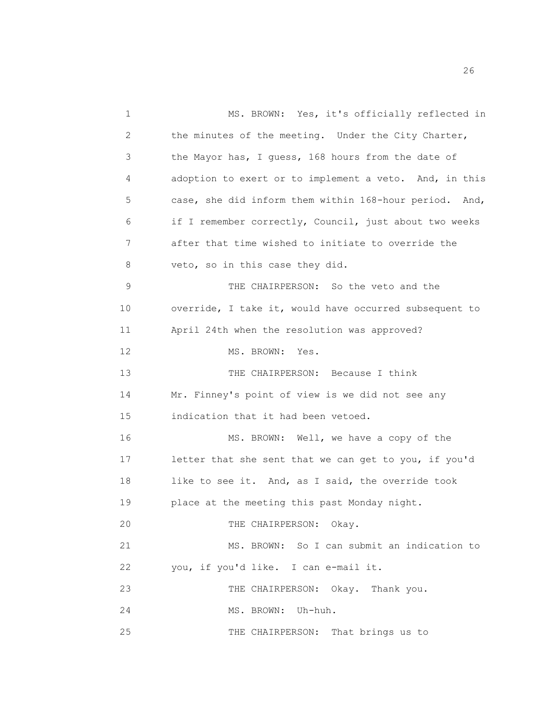1 MS. BROWN: Yes, it's officially reflected in 2 the minutes of the meeting. Under the City Charter, 3 the Mayor has, I guess, 168 hours from the date of 4 adoption to exert or to implement a veto. And, in this 5 case, she did inform them within 168-hour period. And, 6 if I remember correctly, Council, just about two weeks 7 after that time wished to initiate to override the 8 veto, so in this case they did. 9 THE CHAIRPERSON: So the veto and the 10 override, I take it, would have occurred subsequent to 11 April 24th when the resolution was approved? 12 MS. BROWN: Yes. 13 THE CHAIRPERSON: Because I think 14 Mr. Finney's point of view is we did not see any 15 indication that it had been vetoed. 16 MS. BROWN: Well, we have a copy of the 17 letter that she sent that we can get to you, if you'd 18 like to see it. And, as I said, the override took 19 place at the meeting this past Monday night. 20 THE CHAIRPERSON: Okay. 21 MS. BROWN: So I can submit an indication to 22 you, if you'd like. I can e-mail it. 23 THE CHAIRPERSON: Okay. Thank you. 24 MS. BROWN: Uh-huh. 25 THE CHAIRPERSON: That brings us to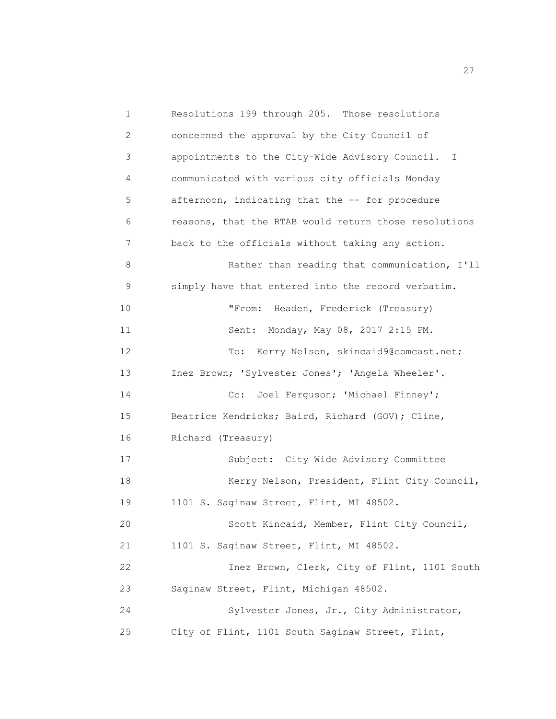1 Resolutions 199 through 205. Those resolutions 2 concerned the approval by the City Council of 3 appointments to the City-Wide Advisory Council. I 4 communicated with various city officials Monday 5 afternoon, indicating that the -- for procedure 6 reasons, that the RTAB would return those resolutions 7 back to the officials without taking any action. 8 Rather than reading that communication, I'll 9 simply have that entered into the record verbatim. 10 "From: Headen, Frederick (Treasury) 11 Sent: Monday, May 08, 2017 2:15 PM. 12 To: Kerry Nelson, skincaid9@comcast.net; 13 Inez Brown; 'Sylvester Jones'; 'Angela Wheeler'. 14 Cc: Joel Ferguson; 'Michael Finney'; 15 Beatrice Kendricks; Baird, Richard (GOV); Cline, 16 Richard (Treasury) 17 Subject: City Wide Advisory Committee 18 Kerry Nelson, President, Flint City Council, 19 1101 S. Saginaw Street, Flint, MI 48502. 20 Scott Kincaid, Member, Flint City Council, 21 1101 S. Saginaw Street, Flint, MI 48502. 22 Inez Brown, Clerk, City of Flint, 1101 South 23 Saginaw Street, Flint, Michigan 48502. 24 Sylvester Jones, Jr., City Administrator, 25 City of Flint, 1101 South Saginaw Street, Flint,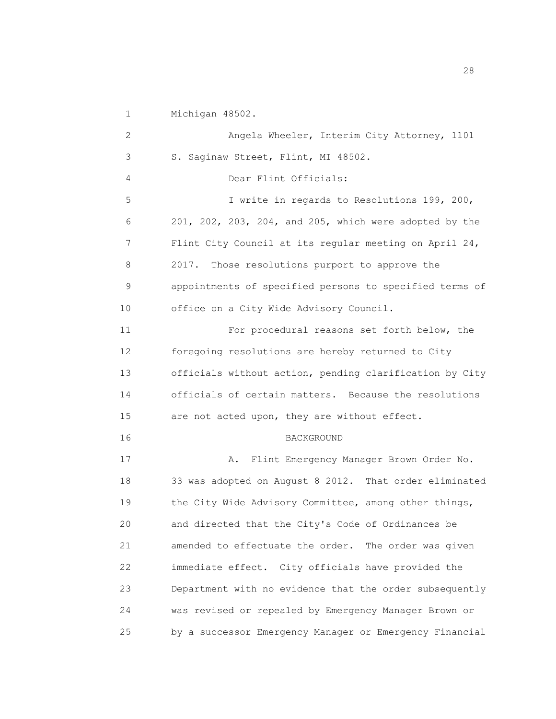1 Michigan 48502. 2 Angela Wheeler, Interim City Attorney, 1101 3 S. Saginaw Street, Flint, MI 48502. 4 Dear Flint Officials: 5 I write in regards to Resolutions 199, 200, 6 201, 202, 203, 204, and 205, which were adopted by the 7 Flint City Council at its regular meeting on April 24, 8 2017. Those resolutions purport to approve the 9 appointments of specified persons to specified terms of 10 office on a City Wide Advisory Council. 11 For procedural reasons set forth below, the 12 foregoing resolutions are hereby returned to City 13 officials without action, pending clarification by City 14 officials of certain matters. Because the resolutions 15 are not acted upon, they are without effect. 16 BACKGROUND 17 A. Flint Emergency Manager Brown Order No. 18 33 was adopted on August 8 2012. That order eliminated 19 the City Wide Advisory Committee, among other things, 20 and directed that the City's Code of Ordinances be 21 amended to effectuate the order. The order was given 22 immediate effect. City officials have provided the 23 Department with no evidence that the order subsequently 24 was revised or repealed by Emergency Manager Brown or 25 by a successor Emergency Manager or Emergency Financial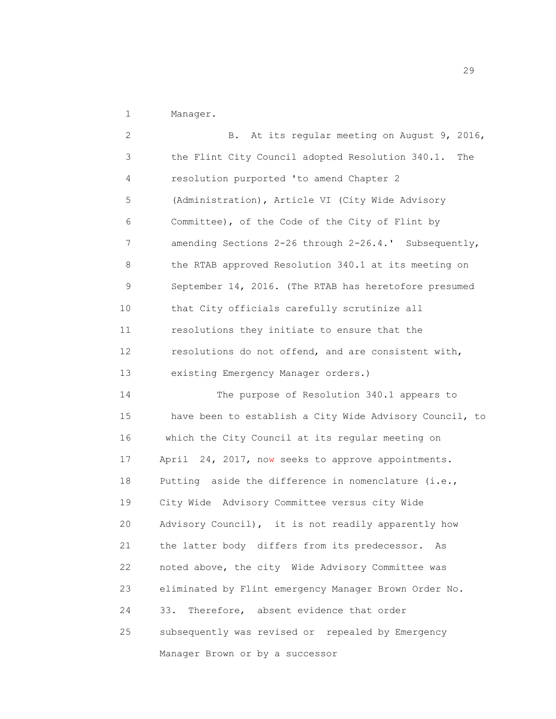1 Manager.

2 B. At its regular meeting on August 9, 2016, 3 4 5 6 7 8 9 10 11 12 13 14 15 16 17 18 19 20 21 22 23 24 25 the Flint City Council adopted Resolution 340.1. The resolution purported 'to amend Chapter 2 (Administration), Article VI (City Wide Advisory Committee), of the Code of the City of Flint by amending Sections 2-26 through 2-26.4.' Subsequently, the RTAB approved Resolution 340.1 at its meeting on September 14, 2016. (The RTAB has heretofore presumed that City officials carefully scrutinize all resolutions they initiate to ensure that the resolutions do not offend, and are consistent with, existing Emergency Manager orders.) The purpose of Resolution 340.1 appears to have been to establish a City Wide Advisory Council, to which the City Council at its regular meeting on April 24, 2017, now seeks to approve appointments. Putting aside the difference in nomenclature (i.e., City Wide Advisory Committee versus city Wide Advisory Council), it is not readily apparently how the latter body differs from its predecessor. As noted above, the city Wide Advisory Committee was eliminated by Flint emergency Manager Brown Order No. 33. Therefore, absent evidence that order subsequently was revised or repealed by Emergency Manager Brown or by a successor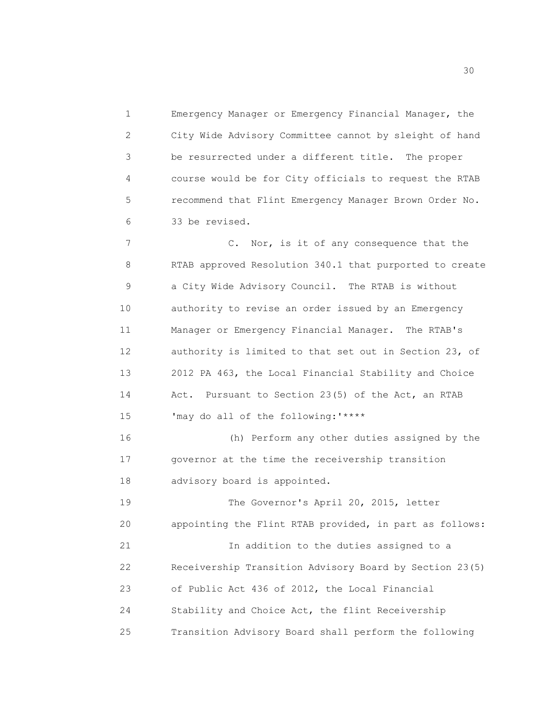1 Emergency Manager or Emergency Financial Manager, the 2 City Wide Advisory Committee cannot by sleight of hand 3 be resurrected under a different title. The proper 4 course would be for City officials to request the RTAB 5 recommend that Flint Emergency Manager Brown Order No. 6 33 be revised.

7 C. Nor, is it of any consequence that the 8 RTAB approved Resolution 340.1 that purported to create 9 a City Wide Advisory Council. The RTAB is without 10 authority to revise an order issued by an Emergency 11 Manager or Emergency Financial Manager. The RTAB's 12 authority is limited to that set out in Section 23, of 13 2012 PA 463, the Local Financial Stability and Choice 14 Act. Pursuant to Section 23(5) of the Act, an RTAB 15 'may do all of the following:'\*\*\*\* 16 (h) Perform any other duties assigned by the 17 governor at the time the receivership transition 18 advisory board is appointed.

19 The Governor's April 20, 2015, letter 20 appointing the Flint RTAB provided, in part as follows: 21 In addition to the duties assigned to a 22 Receivership Transition Advisory Board by Section 23(5) 23 of Public Act 436 of 2012, the Local Financial 24 Stability and Choice Act, the flint Receivership

25 Transition Advisory Board shall perform the following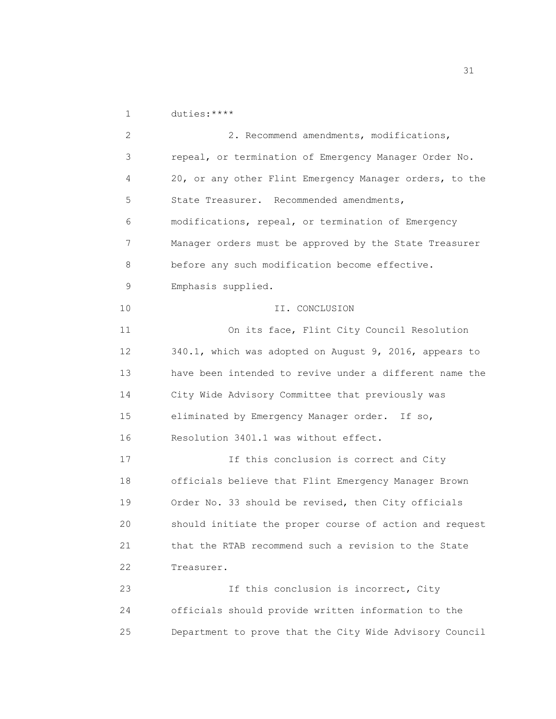1 duties:\*\*\*\*

2 2. Recommend amendments, modifications, 3 repeal, or termination of Emergency Manager Order No. 4 20, or any other Flint Emergency Manager orders, to the 5 State Treasurer. Recommended amendments, 6 modifications, repeal, or termination of Emergency 7 Manager orders must be approved by the State Treasurer 8 before any such modification become effective. 9 Emphasis supplied. 10 II. CONCLUSION 11 On its face, Flint City Council Resolution 12 340.1, which was adopted on August 9, 2016, appears to 13 have been intended to revive under a different name the 14 City Wide Advisory Committee that previously was 15 eliminated by Emergency Manager order. If so, 16 Resolution 340l.1 was without effect. 17 17 15 If this conclusion is correct and City 18 officials believe that Flint Emergency Manager Brown 19 Order No. 33 should be revised, then City officials 20 should initiate the proper course of action and request 21 that the RTAB recommend such a revision to the State 22 Treasurer. 23 1f this conclusion is incorrect, City 24 officials should provide written information to the 25 Department to prove that the City Wide Advisory Council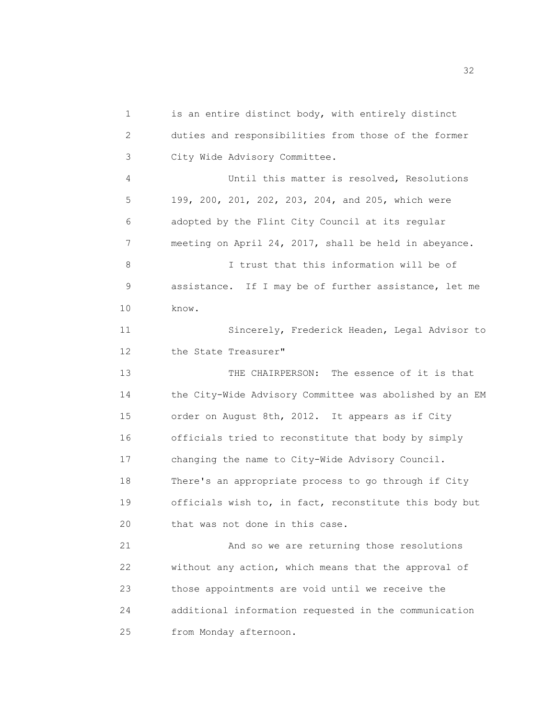1 is an entire distinct body, with entirely distinct 2 duties and responsibilities from those of the former 3 City Wide Advisory Committee. 4 Until this matter is resolved, Resolutions 5 199, 200, 201, 202, 203, 204, and 205, which were 6 adopted by the Flint City Council at its regular 7 meeting on April 24, 2017, shall be held in abeyance. 8 I trust that this information will be of 9 assistance. If I may be of further assistance, let me 10 know. 11 Sincerely, Frederick Headen, Legal Advisor to 12 the State Treasurer" 13 THE CHAIRPERSON: The essence of it is that 14 the City-Wide Advisory Committee was abolished by an EM 15 order on August 8th, 2012. It appears as if City 16 officials tried to reconstitute that body by simply 17 changing the name to City-Wide Advisory Council. 18 There's an appropriate process to go through if City 19 officials wish to, in fact, reconstitute this body but 20 that was not done in this case. 21 And so we are returning those resolutions 22 without any action, which means that the approval of 23 those appointments are void until we receive the 24 additional information requested in the communication 25 from Monday afternoon.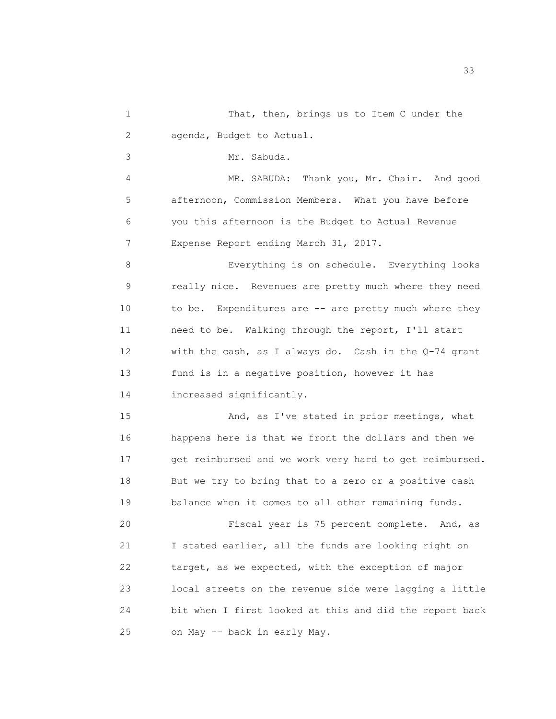1 That, then, brings us to Item C under the 2 agenda, Budget to Actual.

3 Mr. Sabuda.

4 MR. SABUDA: Thank you, Mr. Chair. And good 5 afternoon, Commission Members. What you have before 6 you this afternoon is the Budget to Actual Revenue 7 Expense Report ending March 31, 2017.

8 Everything is on schedule. Everything looks 9 really nice. Revenues are pretty much where they need 10 to be. Expenditures are -- are pretty much where they 11 need to be. Walking through the report, I'll start 12 with the cash, as I always do. Cash in the Q-74 grant 13 fund is in a negative position, however it has 14 increased significantly.

15 And, as I've stated in prior meetings, what 16 happens here is that we front the dollars and then we 17 get reimbursed and we work very hard to get reimbursed. 18 But we try to bring that to a zero or a positive cash 19 balance when it comes to all other remaining funds.

20 Fiscal year is 75 percent complete. And, as 21 I stated earlier, all the funds are looking right on 22 target, as we expected, with the exception of major 23 local streets on the revenue side were lagging a little 24 bit when I first looked at this and did the report back 25 on May -- back in early May.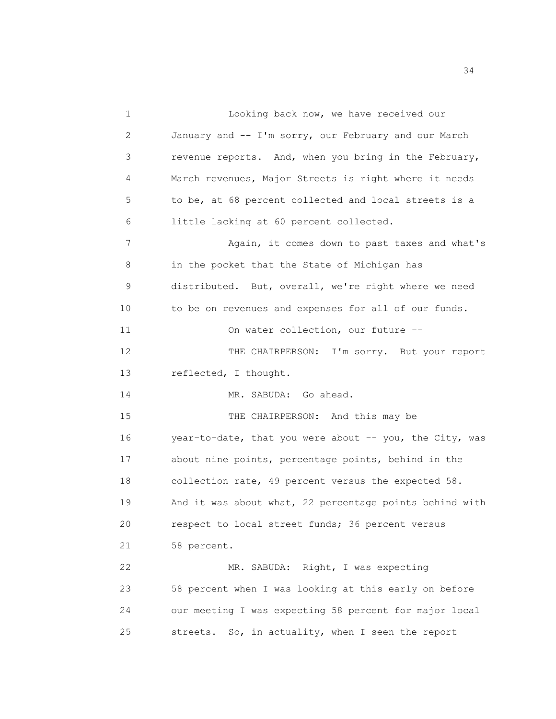1 Looking back now, we have received our 2 January and -- I'm sorry, our February and our March 3 revenue reports. And, when you bring in the February, 4 March revenues, Major Streets is right where it needs 5 to be, at 68 percent collected and local streets is a 6 little lacking at 60 percent collected. 7 Again, it comes down to past taxes and what's 8 in the pocket that the State of Michigan has 9 distributed. But, overall, we're right where we need 10 to be on revenues and expenses for all of our funds. 11 On water collection, our future --12 THE CHAIRPERSON: I'm sorry. But your report 13 reflected, I thought. 14 MR. SABUDA: Go ahead. 15 THE CHAIRPERSON: And this may be 16 year-to-date, that you were about -- you, the City, was 17 about nine points, percentage points, behind in the 18 collection rate, 49 percent versus the expected 58. 19 And it was about what, 22 percentage points behind with 20 respect to local street funds; 36 percent versus 21 58 percent. 22 MR. SABUDA: Right, I was expecting 23 58 percent when I was looking at this early on before 24 our meeting I was expecting 58 percent for major local 25 streets. So, in actuality, when I seen the report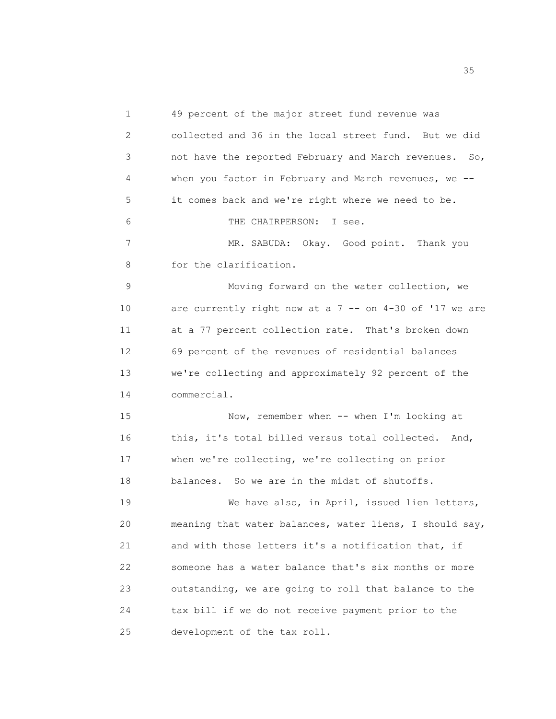1 49 percent of the major street fund revenue was 2 collected and 36 in the local street fund. But we did 3 not have the reported February and March revenues. So, 4 when you factor in February and March revenues, we -- 5 it comes back and we're right where we need to be. 6 THE CHAIRPERSON: I see. 7 MR. SABUDA: Okay. Good point. Thank you 8 for the clarification. 9 Moving forward on the water collection, we 10 are currently right now at a 7 -- on 4-30 of '17 we are 11 at a 77 percent collection rate. That's broken down 12 69 percent of the revenues of residential balances 13 we're collecting and approximately 92 percent of the 14 commercial. 15 Now, remember when -- when I'm looking at 16 this, it's total billed versus total collected. And, 17 when we're collecting, we're collecting on prior 18 balances. So we are in the midst of shutoffs. 19 We have also, in April, issued lien letters, 20 meaning that water balances, water liens, I should say, 21 and with those letters it's a notification that, if 22 someone has a water balance that's six months or more 23 outstanding, we are going to roll that balance to the 24 tax bill if we do not receive payment prior to the 25 development of the tax roll.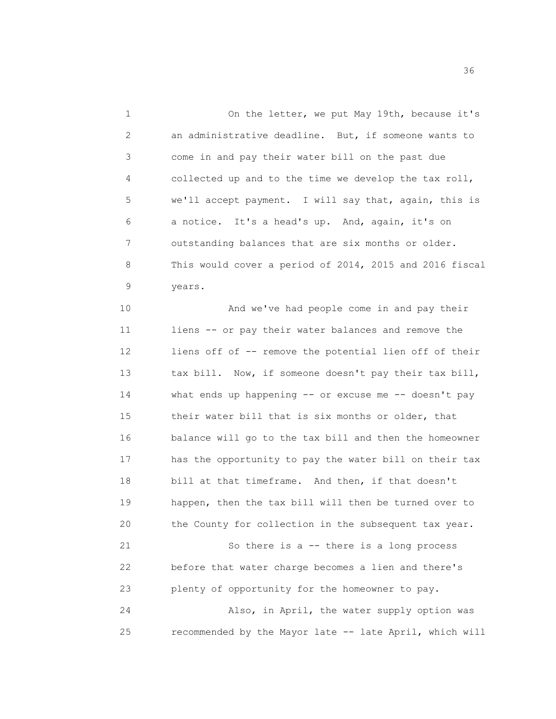1 On the letter, we put May 19th, because it's 2 an administrative deadline. But, if someone wants to 3 come in and pay their water bill on the past due 4 collected up and to the time we develop the tax roll, 5 we'll accept payment. I will say that, again, this is 6 a notice. It's a head's up. And, again, it's on 7 outstanding balances that are six months or older. 8 This would cover a period of 2014, 2015 and 2016 fiscal 9 years. 10 And we've had people come in and pay their 11 liens -- or pay their water balances and remove the 12 liens off of -- remove the potential lien off of their 13 tax bill. Now, if someone doesn't pay their tax bill, 14 what ends up happening -- or excuse me -- doesn't pay 15 their water bill that is six months or older, that 16 balance will go to the tax bill and then the homeowner 17 has the opportunity to pay the water bill on their tax 18 bill at that timeframe. And then, if that doesn't 19 happen, then the tax bill will then be turned over to

21 So there is a -- there is a long process 22 before that water charge becomes a lien and there's 23 plenty of opportunity for the homeowner to pay. 24 Also, in April, the water supply option was 25 recommended by the Mayor late -- late April, which will

20 the County for collection in the subsequent tax year.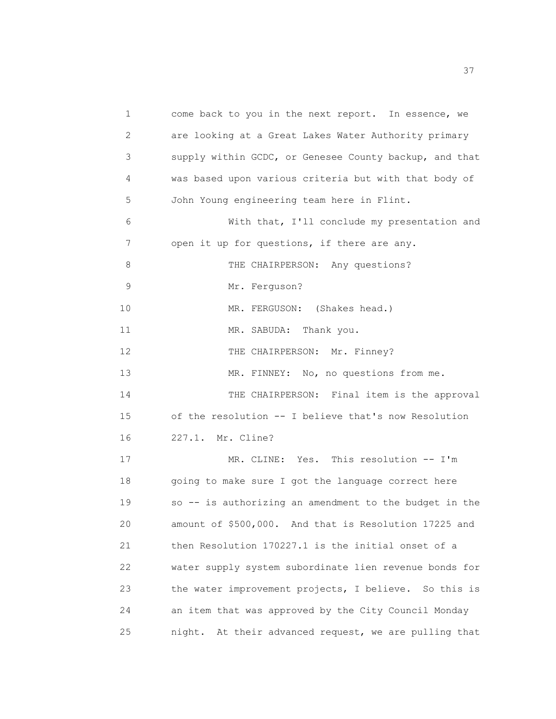1 come back to you in the next report. In essence, we 2 are looking at a Great Lakes Water Authority primary 3 supply within GCDC, or Genesee County backup, and that 4 was based upon various criteria but with that body of 5 John Young engineering team here in Flint. 6 With that, I'll conclude my presentation and 7 open it up for questions, if there are any. 8 THE CHAIRPERSON: Any questions? 9 Mr. Ferguson? 10 MR. FERGUSON: (Shakes head.) 11 MR. SABUDA: Thank you. 12 THE CHAIRPERSON: Mr. Finney? 13 MR. FINNEY: No, no questions from me. 14 THE CHAIRPERSON: Final item is the approval 15 of the resolution -- I believe that's now Resolution 16 227.1. Mr. Cline? 17 MR. CLINE: Yes. This resolution -- I'm 18 going to make sure I got the language correct here 19 so -- is authorizing an amendment to the budget in the 20 amount of \$500,000. And that is Resolution 17225 and 21 then Resolution 170227.1 is the initial onset of a 22 water supply system subordinate lien revenue bonds for 23 the water improvement projects, I believe. So this is 24 an item that was approved by the City Council Monday 25 night. At their advanced request, we are pulling that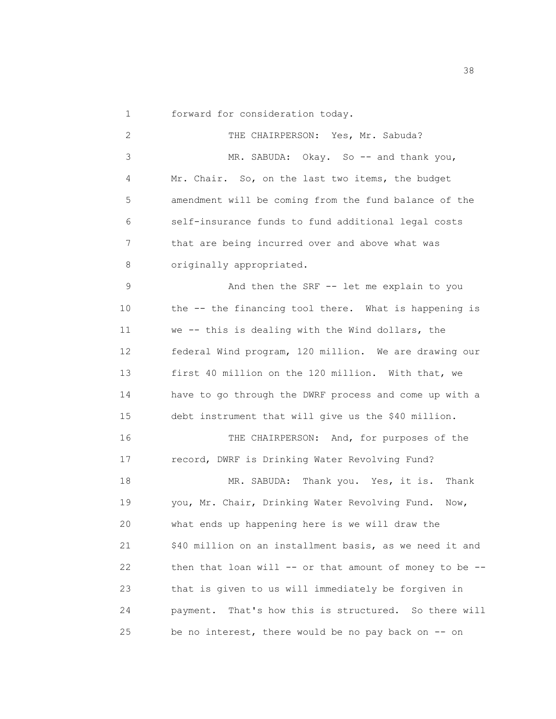1 forward for consideration today.

2 THE CHAIRPERSON: Yes, Mr. Sabuda? 3 MR. SABUDA: Okay. So -- and thank you, 4 Mr. Chair. So, on the last two items, the budget 5 amendment will be coming from the fund balance of the 6 self-insurance funds to fund additional legal costs 7 that are being incurred over and above what was 8 originally appropriated. 9 And then the SRF -- let me explain to you 10 the -- the financing tool there. What is happening is 11 we -- this is dealing with the Wind dollars, the 12 federal Wind program, 120 million. We are drawing our 13 first 40 million on the 120 million. With that, we 14 have to go through the DWRF process and come up with a 15 debt instrument that will give us the \$40 million. 16 THE CHAIRPERSON: And, for purposes of the 17 record, DWRF is Drinking Water Revolving Fund? 18 MR. SABUDA: Thank you. Yes, it is. Thank 19 you, Mr. Chair, Drinking Water Revolving Fund. Now, 20 what ends up happening here is we will draw the 21 \$40 million on an installment basis, as we need it and 22 then that loan will -- or that amount of money to be --23 that is given to us will immediately be forgiven in 24 payment. That's how this is structured. So there will 25 be no interest, there would be no pay back on -- on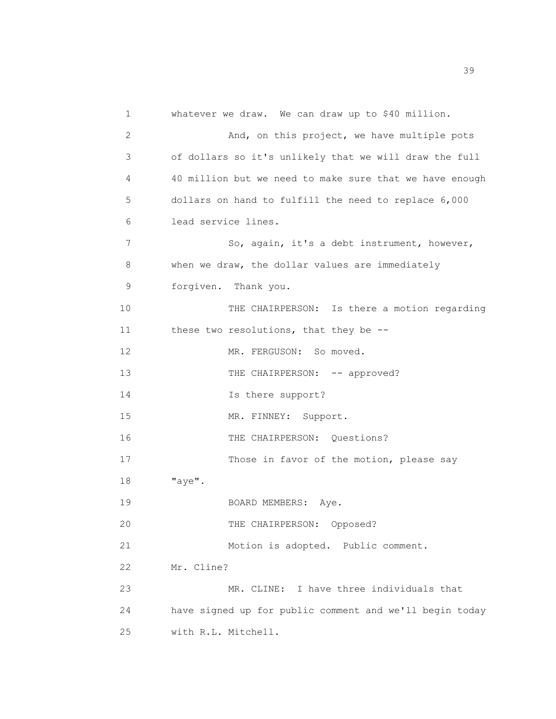1 whatever we draw. We can draw up to \$40 million. 2 And, on this project, we have multiple pots 3 of dollars so it's unlikely that we will draw the full 4 40 million but we need to make sure that we have enough 5 dollars on hand to fulfill the need to replace 6,000 6 lead service lines. 7 So, again, it's a debt instrument, however, 8 when we draw, the dollar values are immediately 9 forgiven. Thank you. 10 THE CHAIRPERSON: Is there a motion regarding 11 these two resolutions, that they be --12 MR. FERGUSON: So moved. 13 THE CHAIRPERSON: -- approved? 14 Is there support? 15 MR. FINNEY: Support. 16 THE CHAIRPERSON: Ouestions? 17 Those in favor of the motion, please say 18 "aye". 19 BOARD MEMBERS: Aye. 20 THE CHAIRPERSON: Opposed? 21 Motion is adopted. Public comment. 22 Mr. Cline? 23 MR. CLINE: I have three individuals that 24 have signed up for public comment and we'll begin today 25 with R.L. Mitchell.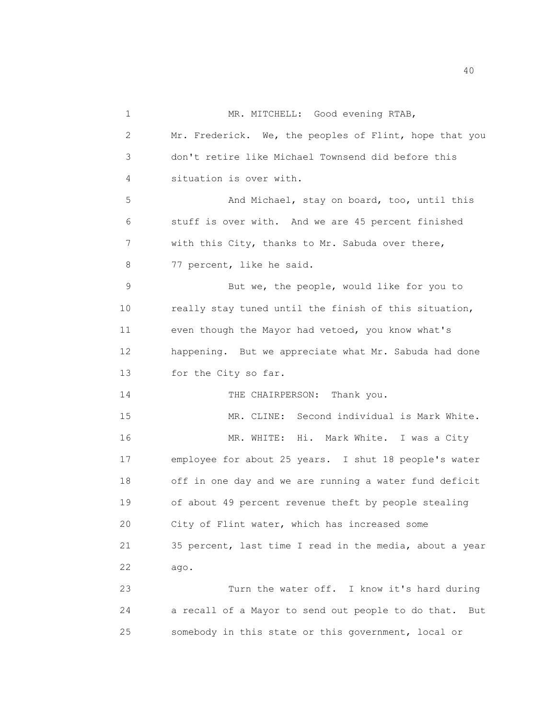1 MR. MITCHELL: Good evening RTAB, 2 Mr. Frederick. We, the peoples of Flint, hope that you 3 don't retire like Michael Townsend did before this 4 situation is over with. 5 And Michael, stay on board, too, until this 6 stuff is over with. And we are 45 percent finished 7 with this City, thanks to Mr. Sabuda over there, 8 77 percent, like he said. 9 But we, the people, would like for you to 10 really stay tuned until the finish of this situation, 11 even though the Mayor had vetoed, you know what's 12 happening. But we appreciate what Mr. Sabuda had done 13 for the City so far. 14 THE CHAIRPERSON: Thank you. 15 MR. CLINE: Second individual is Mark White. 16 MR. WHITE: Hi. Mark White. I was a City 17 employee for about 25 years. I shut 18 people's water 18 off in one day and we are running a water fund deficit 19 of about 49 percent revenue theft by people stealing 20 City of Flint water, which has increased some 21 35 percent, last time I read in the media, about a year 22 ago. 23 Turn the water off. I know it's hard during 24 a recall of a Mayor to send out people to do that. But 25 somebody in this state or this government, local or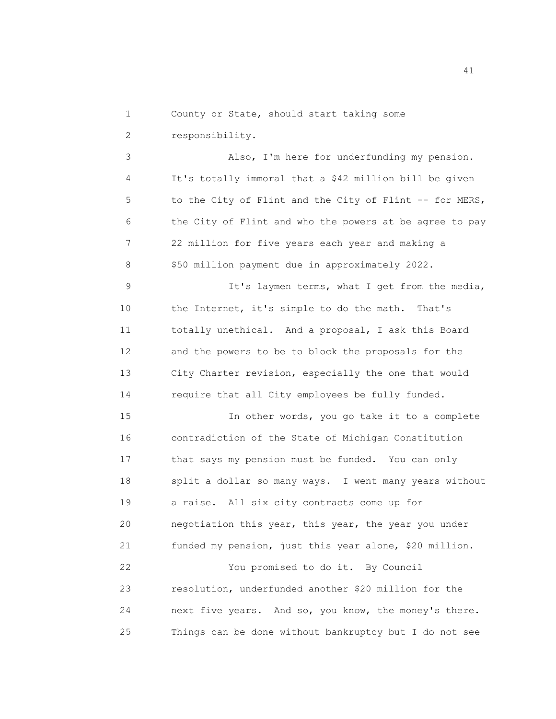1 County or State, should start taking some

2 responsibility.

3 Also, I'm here for underfunding my pension. 4 It's totally immoral that a \$42 million bill be given 5 to the City of Flint and the City of Flint -- for MERS, 6 the City of Flint and who the powers at be agree to pay 7 22 million for five years each year and making a 8 \$50 million payment due in approximately 2022.

9 It's laymen terms, what I get from the media, 10 the Internet, it's simple to do the math. That's 11 totally unethical. And a proposal, I ask this Board 12 and the powers to be to block the proposals for the 13 City Charter revision, especially the one that would 14 require that all City employees be fully funded.

15 In other words, you go take it to a complete 16 contradiction of the State of Michigan Constitution 17 that says my pension must be funded. You can only 18 split a dollar so many ways. I went many years without 19 a raise. All six city contracts come up for 20 negotiation this year, this year, the year you under 21 funded my pension, just this year alone, \$20 million.

22 You promised to do it. By Council 23 resolution, underfunded another \$20 million for the 24 next five years. And so, you know, the money's there. 25 Things can be done without bankruptcy but I do not see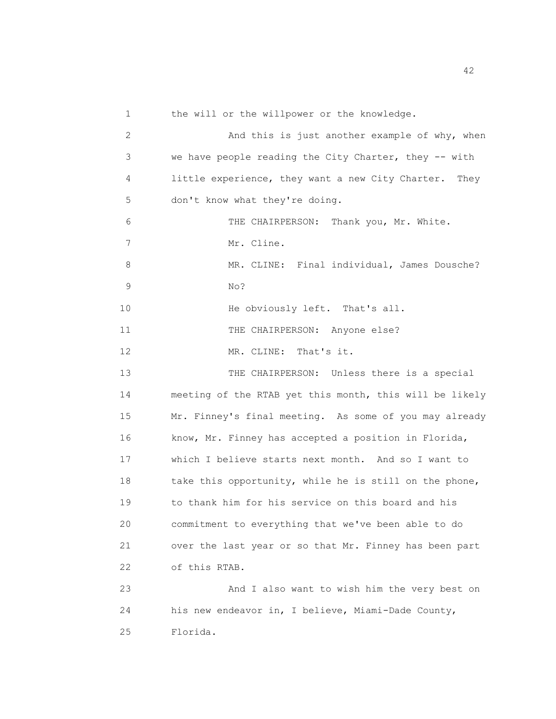1 the will or the willpower or the knowledge. 2 And this is just another example of why, when 3 we have people reading the City Charter, they -- with 4 little experience, they want a new City Charter. They 5 don't know what they're doing. 6 THE CHAIRPERSON: Thank you, Mr. White. 7 Mr. Cline. 8 MR. CLINE: Final individual, James Dousche? 9 No? 10 He obviously left. That's all. 11 THE CHAIRPERSON: Anyone else? 12 MR. CLINE: That's it. 13 THE CHAIRPERSON: Unless there is a special 14 meeting of the RTAB yet this month, this will be likely 15 Mr. Finney's final meeting. As some of you may already 16 know, Mr. Finney has accepted a position in Florida, 17 which I believe starts next month. And so I want to 18 take this opportunity, while he is still on the phone, 19 to thank him for his service on this board and his 20 commitment to everything that we've been able to do 21 over the last year or so that Mr. Finney has been part 22 of this RTAB. 23 And I also want to wish him the very best on 24 his new endeavor in, I believe, Miami-Dade County, 25 Florida.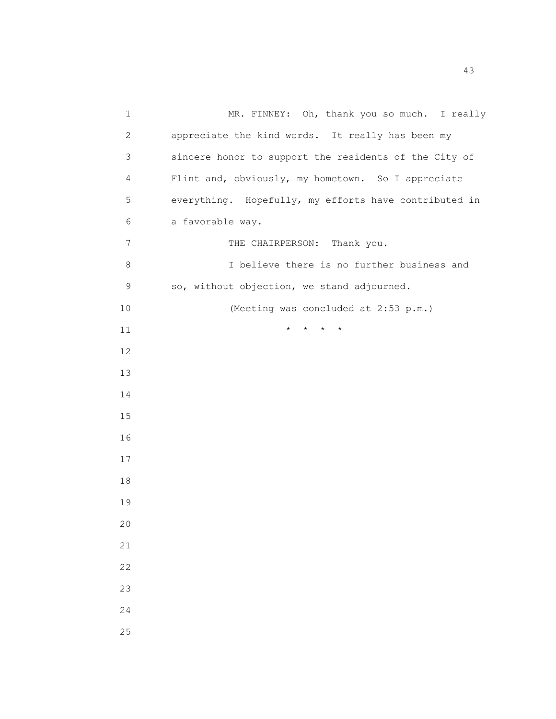| 1    | MR. FINNEY: Oh, thank you so much. I really           |
|------|-------------------------------------------------------|
| 2    | appreciate the kind words. It really has been my      |
| 3    | sincere honor to support the residents of the City of |
| 4    | Flint and, obviously, my hometown. So I appreciate    |
| 5    | everything. Hopefully, my efforts have contributed in |
| 6    | a favorable way.                                      |
| 7    | THE CHAIRPERSON: Thank you.                           |
| 8    | I believe there is no further business and            |
| 9    | so, without objection, we stand adjourned.            |
| $10$ | (Meeting was concluded at 2:53 p.m.)                  |
| 11   | $\star$<br>$\star$<br>$\star$                         |
| 12   |                                                       |
| 13   |                                                       |
| 14   |                                                       |
| 15   |                                                       |
| 16   |                                                       |
| 17   |                                                       |
| 18   |                                                       |
| 19   |                                                       |
| 20   |                                                       |
| 21   |                                                       |
| 22   |                                                       |
| 23   |                                                       |
| 24   |                                                       |
| 25   |                                                       |